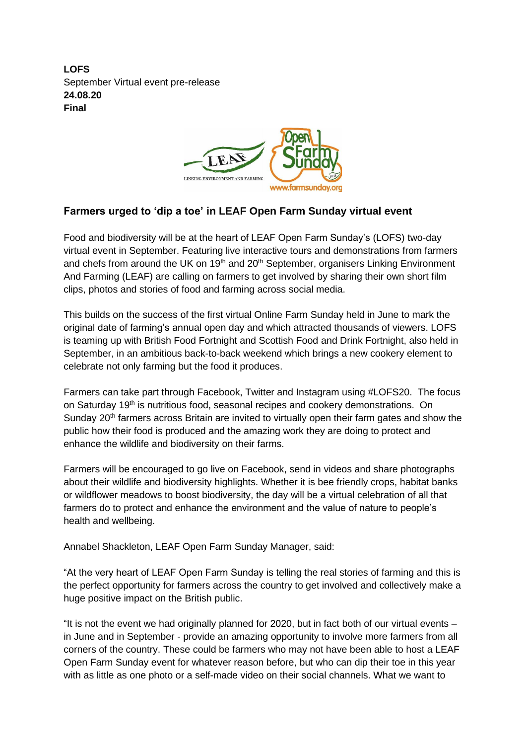**LOFS** September Virtual event pre-release **24.08.20 Final**



## **Farmers urged to 'dip a toe' in LEAF Open Farm Sunday virtual event**

Food and biodiversity will be at the heart of LEAF Open Farm Sunday's (LOFS) two-day virtual event in September. Featuring live interactive tours and demonstrations from farmers and chefs from around the UK on 19<sup>th</sup> and 20<sup>th</sup> September, organisers Linking Environment And Farming (LEAF) are calling on farmers to get involved by sharing their own short film clips, photos and stories of food and farming across social media.

This builds on the success of the first virtual Online Farm Sunday held in June to mark the original date of farming's annual open day and which attracted thousands of viewers. LOFS is teaming up with British Food Fortnight and Scottish Food and Drink Fortnight, also held in September, in an ambitious back-to-back weekend which brings a new cookery element to celebrate not only farming but the food it produces.

Farmers can take part through Facebook, Twitter and Instagram using #LOFS20. The focus on Saturday 19<sup>th</sup> is nutritious food, seasonal recipes and cookery demonstrations. On Sunday 20<sup>th</sup> farmers across Britain are invited to virtually open their farm gates and show the public how their food is produced and the amazing work they are doing to protect and enhance the wildlife and biodiversity on their farms.

Farmers will be encouraged to go live on Facebook, send in videos and share photographs about their wildlife and biodiversity highlights. Whether it is bee friendly crops, habitat banks or wildflower meadows to boost biodiversity, the day will be a virtual celebration of all that farmers do to protect and enhance the environment and the value of nature to people's health and wellbeing.

Annabel Shackleton, LEAF Open Farm Sunday Manager, said:

"At the very heart of LEAF Open Farm Sunday is telling the real stories of farming and this is the perfect opportunity for farmers across the country to get involved and collectively make a huge positive impact on the British public.

"It is not the event we had originally planned for 2020, but in fact both of our virtual events – in June and in September - provide an amazing opportunity to involve more farmers from all corners of the country. These could be farmers who may not have been able to host a LEAF Open Farm Sunday event for whatever reason before, but who can dip their toe in this year with as little as one photo or a self-made video on their social channels. What we want to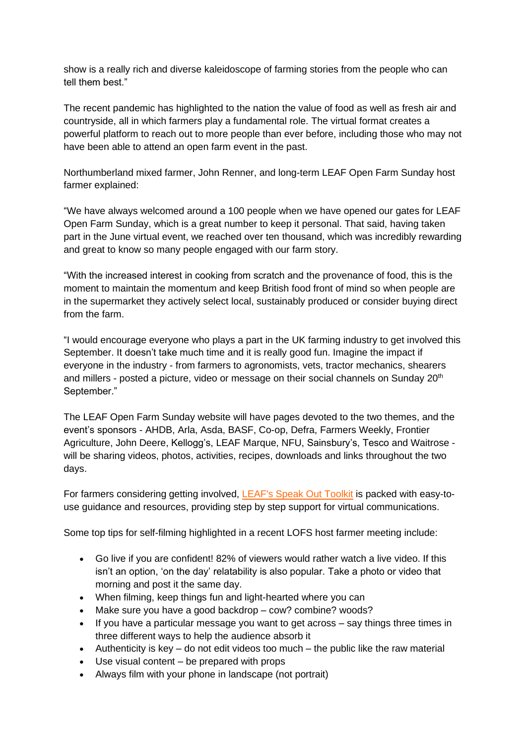show is a really rich and diverse kaleidoscope of farming stories from the people who can tell them best."

The recent pandemic has highlighted to the nation the value of food as well as fresh air and countryside, all in which farmers play a fundamental role. The virtual format creates a powerful platform to reach out to more people than ever before, including those who may not have been able to attend an open farm event in the past.

Northumberland mixed farmer, John Renner, and long-term LEAF Open Farm Sunday host farmer explained:

"We have always welcomed around a 100 people when we have opened our gates for LEAF Open Farm Sunday, which is a great number to keep it personal. That said, having taken part in the June virtual event, we reached over ten thousand, which was incredibly rewarding and great to know so many people engaged with our farm story.

"With the increased interest in cooking from scratch and the provenance of food, this is the moment to maintain the momentum and keep British food front of mind so when people are in the supermarket they actively select local, sustainably produced or consider buying direct from the farm.

"I would encourage everyone who plays a part in the UK farming industry to get involved this September. It doesn't take much time and it is really good fun. Imagine the impact if everyone in the industry - from farmers to agronomists, vets, tractor mechanics, shearers and millers - posted a picture, video or message on their social channels on Sunday 20<sup>th</sup> September."

The LEAF Open Farm Sunday website will have pages devoted to the two themes, and the event's sponsors - AHDB, Arla, Asda, BASF, Co-op, Defra, Farmers Weekly, Frontier Agriculture, John Deere, Kellogg's, LEAF Marque, NFU, Sainsbury's, Tesco and Waitrose will be sharing videos, photos, activities, recipes, downloads and links throughout the two days.

For farmers considering getting involved, [LEAF's Speak Out Toolkit](https://leafuk.org/farming/speakout-introduction) is packed with easy-touse guidance and resources, providing step by step support for virtual communications.

Some top tips for self-filming highlighted in a recent LOFS host farmer meeting include:

- Go live if you are confident! 82% of viewers would rather watch a live video. If this isn't an option, 'on the day' relatability is also popular. Take a photo or video that morning and post it the same day.
- When filming, keep things fun and light-hearted where you can
- Make sure you have a good backdrop cow? combine? woods?
- If you have a particular message you want to get across say things three times in three different ways to help the audience absorb it
- Authenticity is key  $-$  do not edit videos too much  $-$  the public like the raw material
- Use visual content be prepared with props
- Always film with your phone in landscape (not portrait)